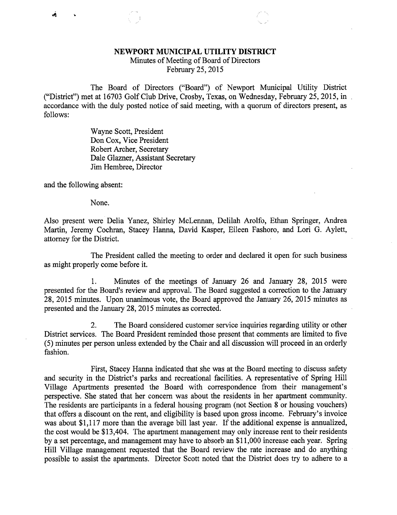## NEWPORT MUNICIPAL UTILITY DISTRICT

Minutes of Meeting of Board of Directors February 25, 2015

The Board of Directors ("Board") of Newport Municipal Utility District ("District") met at 16703 Golf Club Drive, Crosby, Texas, on Wednesday, February 25, 2015, in accordance with the duly posted notice of said meeting, with a quorum of directors present, as follows:

> Wayne Scott, President Don Cox, Vice President Robert Archer, Secretary Dale Glazner, Assistant Secretary Jim Hembree, Director

and the following absent:

None.

Also present were Delia Yanez, Shirley McLennan, Delilah Arolfo, Ethan Springer, Andrea Martin, Jeremy Cochran, Stacey Hanna, David Kasper, Eileen Fashoro, and Lori G. Aylett, attorney for the District.

The President called the meeting to order and declared it open for such business as might properly come before it.

1. Minutes of the meetings of January 26 and January 28, 2015 were presented for the Board's review and approval. The Board suggested a correction to the January 28, 2015 minutes. Upon unanimous vote, the Board approved the January 26, 2015 minutes as presented and the January 28, 2015 minutes as corrected.

2. The Board considered customer service inquiries regarding utility or other District services. The Board President reminded those present that comments are limited to five (5) minutes per person unless extended by the Chair and all discussion will proceed in an orderly fashion.

First, Stacey Hanna indicated that she was at the Board meeting to discuss safety and security in the District's parks and recreational facilities. A representative of Spring Hill Village Apartments presented the Board with correspondence from their management's perspective. She stated that her concern was about the residents in her apartment community. The residents are participants in a federal housing program (not Section 8 or housing vouchers) that offers a discount on the rent, and eligibility is based upon gross income. February's invoice was about \$1,117 more than the average bill last year. If the additional expense is annualized, the cost would be \$13,404. The apartment management may only increase rent to their residents by a set percentage, and management may have to absorb an \$11,000 increase each year. Spring Hill Village management requested that the Board review the rate increase and do anything possible to assist the apartments. Director Scott noted that the District does try to adhere to a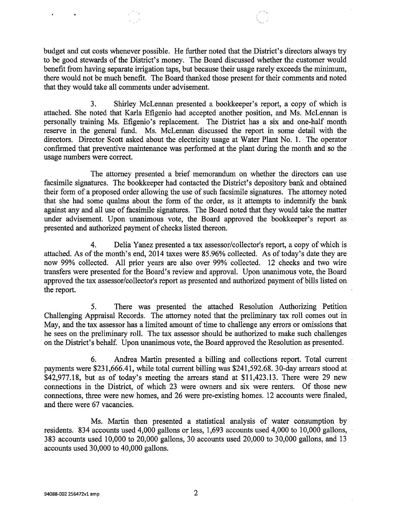budget and cut costs whenever possible. He further noted that the District's directors always try to be good stewards of the District's money. The Board discussed whether the customer would benefit from having separate irrigation taps, but because their usage rarely exceeds the minimum, there would not be much benefit. The Board thanked those present for their comments and noted that they would take all comments under advisement.

3. Shirley McLennan presented a bookkeeper's report, a copy of which is attached. She noted that Karla Efigenio had accepted another position, and Ms. McLennan is personally training Ms. Efigenio's replacement. The District has a six and one-half month reserve in the general fund. Ms. McLennan discussed the report in some detail with the directors. Director Scott asked about the electricity usage at Water Plant No. 1. The operator confirmed that preventive maintenance was performed at the plant during the month and so the usage numbers were correct.

The attorney presented a brief memorandum on whether the directors can use facsimile signatures. The bookkeeper had contacted the District's depository bank and obtained their form of a proposed order allowing the use of such facsimile signatures. The attorney noted that she had some qualms about the form of the order, as it attempts to indemnify the bank against any and all use of facsimile signatures. The Board noted that they would take the matter under advisement. Upon unanimous vote, the Board approved the bookkeeper's report as presented and authorized payment of checks listed thereon.

4. Delia Yanez presented a tax assessor/collector's report, a copy of which is attached. As of the month's end, 2014 taxes were 85.96% collected. As of today's date they are now 99% collected. All prior years are also over 99% collected. 12 checks and two wire transfers were presented for the Board's review and approval. Upon unanimous vote, the Board approved the tax assessor/collector's report as presented and authorized payment of bills listed on the report.

5. There was presented the attached Resolution Authorizing Petition Challenging Appraisal Records. The attorney noted that the preliminary tax roll comes out in May, and the tax assessor has a limited amount of time to challenge any errors or omissions that he sees on the preliminary roll. The tax assessor should be authorized to make such challenges on the District's behalf. Upon unanimous vote, the Board approved the Resolution as presented.

6. Andrea Martin presented a billing and collections report. Total current payments were \$231,666.41, while total current billing was \$241,592.68. 30-day arrears stood at \$42,977.18, but as of today's meeting the arrears stand at \$11,423.13. There were 29 new connections in the District, of which 23 were owners and six were renters. Of those new connections, three were new homes, and 26 were pre-existing homes. 12 accounts were finaled, and there were 67 vacancies.

Ms. Martin then presented a statistical analysis of water consumption by residents. 834 accounts used 4,000 gallons or less, 1,693 accounts used 4,000 to 10,000 gallons, 383 accounts used 10,000 to 20,000 gallons, 30 accounts used 20,000 to 30,000 gallons, and 13 accounts used 30,000 to 40,000 gallons.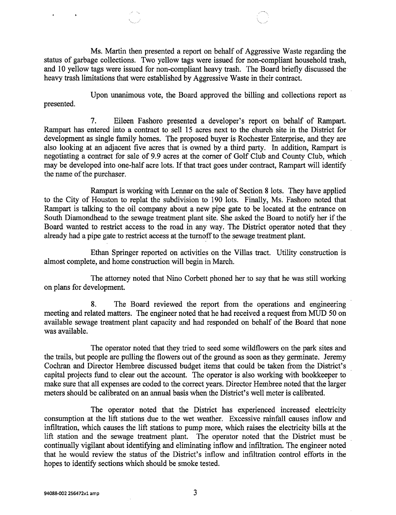Ms. Martin then presented a report on behalf of Aggressive Waste regarding the status of garbage collections. Two yellow tags were issued for non-compliant household trash, and 10 yellow tags were issued for non-compliant heavy trash. The Board briefly discussed the heavy trash limitations that were established by Aggressive Waste in their contract.

Upon unanimous vote, the Board approved the billing and collections report as presented.

7. Eileen Fashoro presented a developer's report on behalf of Rampart. Rampart has entered into a contract to sell 15 acres next to the church site in the District for development as single family homes. The proposed buyer is Rochester Enterprise, and they are also looking at an adjacent five acres that is owned by a third party. In addition, Rampart is negotiating a contract for sale of 9.9 acres at the corner of Golf Club and County Club, which may be developed into one-half acre lots. If that tract goes under contract, Rampart will identify the name of the purchaser.

Rampart is working with Lennar on the sale of Section 8 lots. They have applied to the City of Houston to replat the subdivision to 190 lots. Finally, Ms. Fashoro noted that Rampart is talking to the oil company about a new pipe gate to be located at the entrance on South Diamondhead to the sewage treatment plant site. She asked the Board to notify her if the Board wanted to restrict access to the road in any way. The District operator noted that they already had a pipe gate to restrict access at the turnoff to the sewage treatment plant.

Ethan Springer reported on activities on the Villas tract. Utility construction is almost complete, and home construction will begin in March.

The attorney noted that Nino Corbett phoned her to say that he was still working on plans for development.

8. The Board reviewed the report from the operations and engineering meeting and related matters. The engineer noted that he had received a request from MUD 50 on available sewage treatment plant capacity and had responded on behalf of the Board that none was available.

The operator noted that they tried to seed some wildflowers on the park sites and the trails, but people are pulling the flowers out of the ground as soon as they germinate. Jeremy Cochran and Director Hembree discussed budget items that could be taken from the District's capital projects fund to clear out the account. The operator is also working with bookkeeper to make sure that all expenses are coded to the correct years. Director Hembree noted that the larger meters should be calibrated on an annual basis when the District's well meter is calibrated.

The operator noted that the District has experienced increased electricity consumption at the lift stations due to the wet weather. Excessive rainfall causes inflow and infiltration, which causes the lift stations to pump more, which raises the electricity bills at the lift station and the sewage treatment plant. The operator noted that the District must be continually vigilant about identifying and eliminating inflow and infiltration. The engineer noted that he would review the status of the District's inflow and infiltration control efforts in the hopes to identify sections which should be smoke tested.